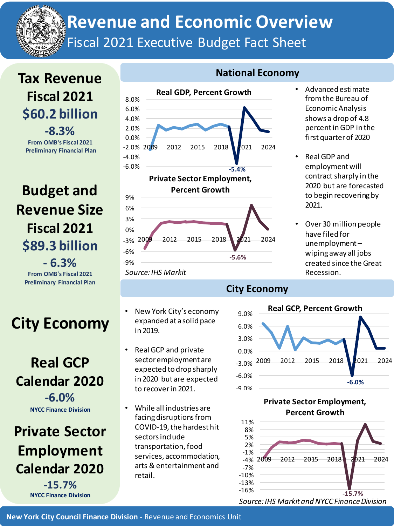

# **Revenue and Economic Overview** Fiscal 2021 Executive Budget Fact Sheet

## **Tax Revenue Fiscal 2021 \$60.2 billion -8.3% From OMB's Fiscal 2021**

**Preliminary Financial Plan**

**Budget and Revenue Size Fiscal 2021 \$89.3 billion - 6.3%**

**From OMB's Fiscal 2021 Preliminary Financial Plan**

# **City Economy**

### **Real GCP Calendar 2020 -6.0% NYCC Finance Division**

**Private Sector Employment Calendar 2020**

> **-15.7% NYCC Finance Division**



*Source: IHS Markit*

- New York City's economy expanded at a solid pace in 2019.
- Real GCP and private sector employment are expected to drop sharply in 2020 but are expected to recover in 2021.
- While all industries are facing disruptions from COVID-19, the hardest hit sectors include transportation, food services, accommodation, arts & entertainment and retail.

#### **National Economy**

- Advanced estimate from the Bureau of Economic Analysis shows a drop of 4.8 percent in GDP in the first quarter of 2020
- Real GDP and employment will contract sharply in the 2020 but are forecasted to begin recovering by 2021.
- Over 30 million people have filed for unemployment – wiping away all jobs created since the Great Recession.

### **City Economy**



**Private Sector Employment, Percent Growth**



*Source: IHS Markit and NYCC Finance Division*

**New York City Council Finance Division -** Revenue and Economics Unit